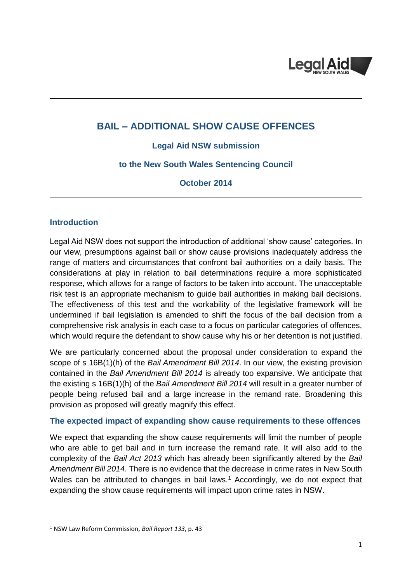

# **BAIL – ADDITIONAL SHOW CAUSE OFFENCES**

**Legal Aid NSW submission**

## **to the New South Wales Sentencing Council**

**October 2014**

#### **Introduction**

Legal Aid NSW does not support the introduction of additional 'show cause' categories. In our view, presumptions against bail or show cause provisions inadequately address the range of matters and circumstances that confront bail authorities on a daily basis. The considerations at play in relation to bail determinations require a more sophisticated response, which allows for a range of factors to be taken into account. The unacceptable risk test is an appropriate mechanism to guide bail authorities in making bail decisions. The effectiveness of this test and the workability of the legislative framework will be undermined if bail legislation is amended to shift the focus of the bail decision from a comprehensive risk analysis in each case to a focus on particular categories of offences, which would require the defendant to show cause why his or her detention is not justified.

We are particularly concerned about the proposal under consideration to expand the scope of s 16B(1)(h) of the *Bail Amendment Bill 2014*. In our view, the existing provision contained in the *Bail Amendment Bill 2014* is already too expansive. We anticipate that the existing s 16B(1)(h) of the *Bail Amendment Bill 2014* will result in a greater number of people being refused bail and a large increase in the remand rate. Broadening this provision as proposed will greatly magnify this effect.

## **The expected impact of expanding show cause requirements to these offences**

We expect that expanding the show cause requirements will limit the number of people who are able to get bail and in turn increase the remand rate. It will also add to the complexity of the *Bail Act 2013* which has already been significantly altered by the *Bail Amendment Bill 2014*. There is no evidence that the decrease in crime rates in New South Wales can be attributed to changes in bail laws.<sup>1</sup> Accordingly, we do not expect that expanding the show cause requirements will impact upon crime rates in NSW.

<sup>1</sup> NSW Law Reform Commission, *Bail Report 133*, p. 43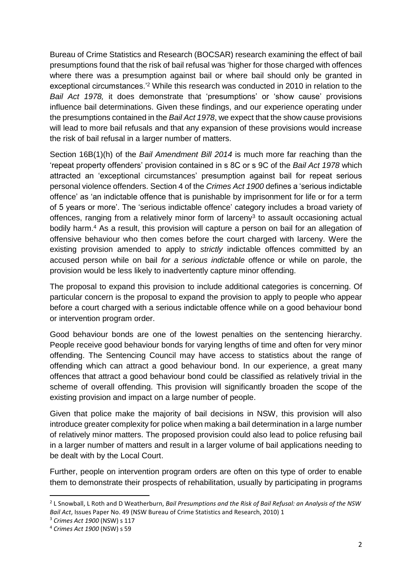Bureau of Crime Statistics and Research (BOCSAR) research examining the effect of bail presumptions found that the risk of bail refusal was 'higher for those charged with offences where there was a presumption against bail or where bail should only be granted in exceptional circumstances.'<sup>2</sup> While this research was conducted in 2010 in relation to the *Bail Act 1978,* it does demonstrate that 'presumptions' or 'show cause' provisions influence bail determinations. Given these findings, and our experience operating under the presumptions contained in the *Bail Act 1978*, we expect that the show cause provisions will lead to more bail refusals and that any expansion of these provisions would increase the risk of bail refusal in a larger number of matters.

Section 16B(1)(h) of the *Bail Amendment Bill 2014* is much more far reaching than the 'repeat property offenders' provision contained in s 8C or s 9C of the *Bail Act 1978* which attracted an 'exceptional circumstances' presumption against bail for repeat serious personal violence offenders. Section 4 of the *Crimes Act 1900* defines a 'serious indictable offence' as 'an indictable offence that is punishable by imprisonment for life or for a term of 5 years or more'. The 'serious indictable offence' category includes a broad variety of offences, ranging from a relatively minor form of larceny<sup>3</sup> to assault occasioning actual bodily harm. <sup>4</sup> As a result, this provision will capture a person on bail for an allegation of offensive behaviour who then comes before the court charged with larceny. Were the existing provision amended to apply to *strictly* indictable offences committed by an accused person while on bail *for a serious indictable* offence or while on parole, the provision would be less likely to inadvertently capture minor offending.

The proposal to expand this provision to include additional categories is concerning. Of particular concern is the proposal to expand the provision to apply to people who appear before a court charged with a serious indictable offence while on a good behaviour bond or intervention program order.

Good behaviour bonds are one of the lowest penalties on the sentencing hierarchy. People receive good behaviour bonds for varying lengths of time and often for very minor offending. The Sentencing Council may have access to statistics about the range of offending which can attract a good behaviour bond. In our experience, a great many offences that attract a good behaviour bond could be classified as relatively trivial in the scheme of overall offending. This provision will significantly broaden the scope of the existing provision and impact on a large number of people.

Given that police make the majority of bail decisions in NSW, this provision will also introduce greater complexity for police when making a bail determination in a large number of relatively minor matters. The proposed provision could also lead to police refusing bail in a larger number of matters and result in a larger volume of bail applications needing to be dealt with by the Local Court.

Further, people on intervention program orders are often on this type of order to enable them to demonstrate their prospects of rehabilitation, usually by participating in programs

<sup>2</sup> L Snowball, L Roth and D Weatherburn, *Bail Presumptions and the Risk of Bail Refusal: an Analysis of the NSW Bail Act*, Issues Paper No. 49 (NSW Bureau of Crime Statistics and Research, 2010) 1

<sup>3</sup> *Crimes Act 1900* (NSW) s 117

<sup>4</sup> *Crimes Act 1900* (NSW) s 59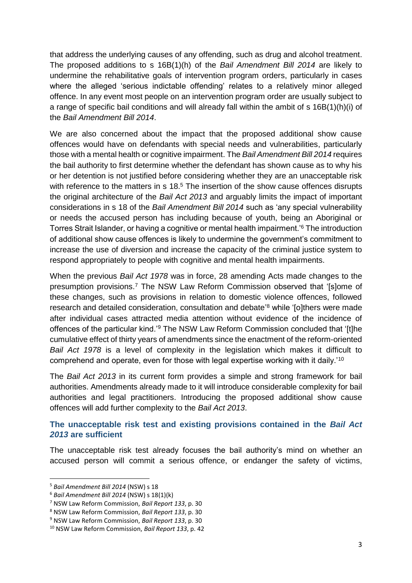that address the underlying causes of any offending, such as drug and alcohol treatment. The proposed additions to s 16B(1)(h) of the *Bail Amendment Bill 2014* are likely to undermine the rehabilitative goals of intervention program orders, particularly in cases where the alleged 'serious indictable offending' relates to a relatively minor alleged offence. In any event most people on an intervention program order are usually subject to a range of specific bail conditions and will already fall within the ambit of s 16B(1)(h)(i) of the *Bail Amendment Bill 2014*.

We are also concerned about the impact that the proposed additional show cause offences would have on defendants with special needs and vulnerabilities, particularly those with a mental health or cognitive impairment. The *Bail Amendment Bill 2014* requires the bail authority to first determine whether the defendant has shown cause as to why his or her detention is not justified before considering whether they are an unacceptable risk with reference to the matters in s 18.<sup>5</sup> The insertion of the show cause offences disrupts the original architecture of the *Bail Act 2013* and arguably limits the impact of important considerations in s 18 of the *Bail Amendment Bill 2014* such as 'any special vulnerability or needs the accused person has including because of youth, being an Aboriginal or Torres Strait Islander, or having a cognitive or mental health impairment.'<sup>6</sup> The introduction of additional show cause offences is likely to undermine the government's commitment to increase the use of diversion and increase the capacity of the criminal justice system to respond appropriately to people with cognitive and mental health impairments.

When the previous *Bail Act 1978* was in force, 28 amending Acts made changes to the presumption provisions. <sup>7</sup> The NSW Law Reform Commission observed that '[s]ome of these changes, such as provisions in relation to domestic violence offences, followed research and detailed consideration, consultation and debate' <sup>8</sup> while '[o]thers were made after individual cases attracted media attention without evidence of the incidence of offences of the particular kind.'<sup>9</sup> The NSW Law Reform Commission concluded that '[t]he cumulative effect of thirty years of amendments since the enactment of the reform-oriented *Bail Act 1978* is a level of complexity in the legislation which makes it difficult to comprehend and operate, even for those with legal expertise working with it daily.'<sup>10</sup>

The *Bail Act 2013* in its current form provides a simple and strong framework for bail authorities. Amendments already made to it will introduce considerable complexity for bail authorities and legal practitioners. Introducing the proposed additional show cause offences will add further complexity to the *Bail Act 2013*.

## **The unacceptable risk test and existing provisions contained in the** *Bail Act 2013* **are sufficient**

The unacceptable risk test already focuses the bail authority's mind on whether an accused person will commit a serious offence, or endanger the safety of victims,

<sup>5</sup> *Bail Amendment Bill 2014* (NSW) s 18

<sup>6</sup> *Bail Amendment Bill 2014* (NSW) s 18(1)(k)

<sup>7</sup> NSW Law Reform Commission, *Bail Report 133*, p. 30

<sup>8</sup> NSW Law Reform Commission, *Bail Report 133*, p. 30

<sup>9</sup> NSW Law Reform Commission, *Bail Report 133*, p. 30

<sup>10</sup> NSW Law Reform Commission, *Bail Report 133*, p. 42